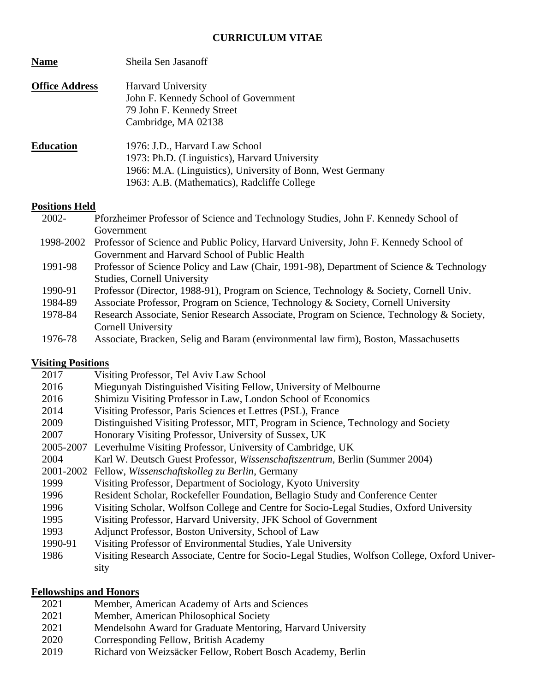### **CURRICULUM VITAE**

| <b>Name</b>           | Sheila Sen Jasanoff                                                                                                                                                                          |
|-----------------------|----------------------------------------------------------------------------------------------------------------------------------------------------------------------------------------------|
| <b>Office Address</b> | <b>Harvard University</b><br>John F. Kennedy School of Government<br>79 John F. Kennedy Street<br>Cambridge, MA 02138                                                                        |
| <b>Education</b>      | 1976: J.D., Harvard Law School<br>1973: Ph.D. (Linguistics), Harvard University<br>1966: M.A. (Linguistics), University of Bonn, West Germany<br>1963: A.B. (Mathematics), Radcliffe College |

### **Positions Held**

| $2002 -$ | Pforzheimer Professor of Science and Technology Studies, John F. Kennedy School of              |
|----------|-------------------------------------------------------------------------------------------------|
|          | Government                                                                                      |
|          | 1998-2002 Professor of Science and Public Policy, Harvard University, John F. Kennedy School of |
|          | Government and Harvard School of Public Health                                                  |
| 1991-98  | Professor of Science Policy and Law (Chair, 1991-98), Department of Science & Technology        |
|          | <b>Studies, Cornell University</b>                                                              |
| 1990-91  | Professor (Director, 1988-91), Program on Science, Technology & Society, Cornell Univ.          |
| 1984-89  | Associate Professor, Program on Science, Technology & Society, Cornell University               |
| 1978-84  | Research Associate, Senior Research Associate, Program on Science, Technology & Society,        |
|          | Cornell University                                                                              |
| 1976-78  | Associate, Bracken, Selig and Baram (environmental law firm), Boston, Massachusetts             |

### **Visiting Positions**

| 2017      | Visiting Professor, Tel Aviv Law School                                                      |
|-----------|----------------------------------------------------------------------------------------------|
| 2016      | Miegunyah Distinguished Visiting Fellow, University of Melbourne                             |
| 2016      | Shimizu Visiting Professor in Law, London School of Economics                                |
| 2014      | Visiting Professor, Paris Sciences et Lettres (PSL), France                                  |
| 2009      | Distinguished Visiting Professor, MIT, Program in Science, Technology and Society            |
| 2007      | Honorary Visiting Professor, University of Sussex, UK                                        |
| 2005-2007 | Leverhulme Visiting Professor, University of Cambridge, UK                                   |
| 2004      | Karl W. Deutsch Guest Professor, Wissenschaftszentrum, Berlin (Summer 2004)                  |
|           | 2001-2002 Fellow, Wissenschaftskolleg zu Berlin, Germany                                     |
| 1999      | Visiting Professor, Department of Sociology, Kyoto University                                |
| 1996      | Resident Scholar, Rockefeller Foundation, Bellagio Study and Conference Center               |
| 1996      | Visiting Scholar, Wolfson College and Centre for Socio-Legal Studies, Oxford University      |
| 1995      | Visiting Professor, Harvard University, JFK School of Government                             |
| 1993      | Adjunct Professor, Boston University, School of Law                                          |
| 1990-91   | Visiting Professor of Environmental Studies, Yale University                                 |
| 1986      | Visiting Research Associate, Centre for Socio-Legal Studies, Wolfson College, Oxford Univer- |
|           | sity                                                                                         |
|           |                                                                                              |

# **Fellowships and Honors**

- 2021 Member, American Academy of Arts and Sciences
- 2021 Member, American Philosophical Society
- 2021 Mendelsohn Award for Graduate Mentoring, Harvard University
- 2020 Corresponding Fellow, British Academy
- 2019 Richard von Weizsäcker Fellow, Robert Bosch Academy, Berlin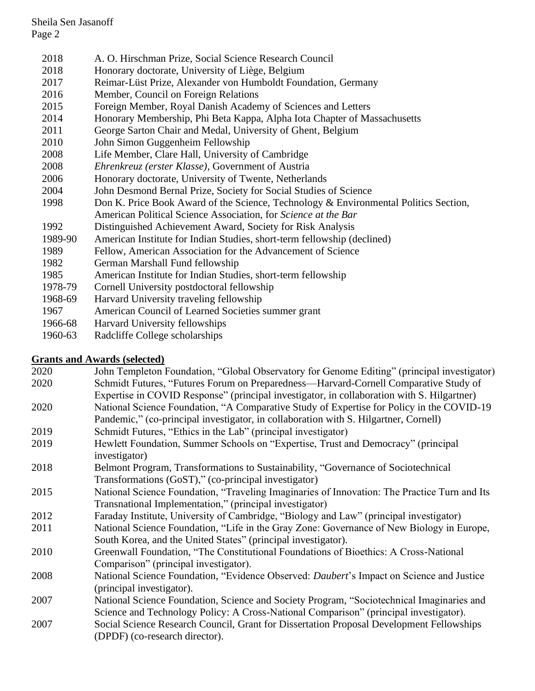- 2018 A. O. Hirschman Prize, Social Science Research Council
- 2018 Honorary doctorate, University of Liège, Belgium
- 2017 Reimar-Lüst Prize, Alexander von Humboldt Foundation, Germany
- 2016 Member, Council on Foreign Relations
- 2015 Foreign Member, Royal Danish Academy of Sciences and Letters
- 2014 Honorary Membership, Phi Beta Kappa, Alpha Iota Chapter of Massachusetts
- 2011 George Sarton Chair and Medal, University of Ghent, Belgium
- 2010 John Simon Guggenheim Fellowship
- 2008 Life Member, Clare Hall, University of Cambridge
- 2008 *Ehrenkreuz (erster Klasse)*, Government of Austria
- 2006 Honorary doctorate, University of Twente, Netherlands
- 2004 John Desmond Bernal Prize, Society for Social Studies of Science
- 1998 Don K. Price Book Award of the Science, Technology & Environmental Politics Section, American Political Science Association, for *Science at the Bar*
- 1992 Distinguished Achievement Award, Society for Risk Analysis
- 1989-90 American Institute for Indian Studies, short-term fellowship (declined)
- 1989 Fellow, American Association for the Advancement of Science
- 1982 German Marshall Fund fellowship
- 1985 American Institute for Indian Studies, short-term fellowship
- 1978-79 Cornell University postdoctoral fellowship
- 1968-69 Harvard University traveling fellowship
- 1967 American Council of Learned Societies summer grant
- 1966-68 Harvard University fellowships
- 1960-63 Radcliffe College scholarships

## **Grants and Awards (selected)**

| 2020 | John Templeton Foundation, "Global Observatory for Genome Editing" (principal investigator)        |
|------|----------------------------------------------------------------------------------------------------|
| 2020 | Schmidt Futures, "Futures Forum on Preparedness—Harvard-Cornell Comparative Study of               |
|      | Expertise in COVID Response" (principal investigator, in collaboration with S. Hilgartner)         |
| 2020 | National Science Foundation, "A Comparative Study of Expertise for Policy in the COVID-19          |
|      | Pandemic," (co-principal investigator, in collaboration with S. Hilgartner, Cornell)               |
| 2019 | Schmidt Futures, "Ethics in the Lab" (principal investigator)                                      |
| 2019 | Hewlett Foundation, Summer Schools on "Expertise, Trust and Democracy" (principal<br>investigator) |
| 2018 | Belmont Program, Transformations to Sustainability, "Governance of Sociotechnical                  |
|      | Transformations (GoST)," (co-principal investigator)                                               |
| 2015 | National Science Foundation, "Traveling Imaginaries of Innovation: The Practice Turn and Its       |
|      | Transnational Implementation," (principal investigator)                                            |
| 2012 | Faraday Institute, University of Cambridge, "Biology and Law" (principal investigator)             |
| 2011 | National Science Foundation, "Life in the Gray Zone: Governance of New Biology in Europe,          |
|      | South Korea, and the United States" (principal investigator).                                      |
| 2010 | Greenwall Foundation, "The Constitutional Foundations of Bioethics: A Cross-National               |
|      | Comparison" (principal investigator).                                                              |
| 2008 | National Science Foundation, "Evidence Observed: Daubert's Impact on Science and Justice           |
|      | (principal investigator).                                                                          |
| 2007 | National Science Foundation, Science and Society Program, "Sociotechnical Imaginaries and          |
|      | Science and Technology Policy: A Cross-National Comparison" (principal investigator).              |
| 2007 | Social Science Research Council, Grant for Dissertation Proposal Development Fellowships           |
|      | (DPDF) (co-research director).                                                                     |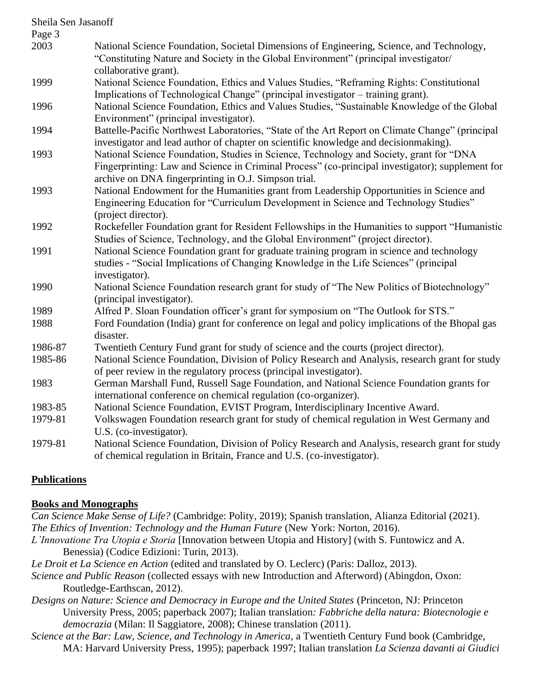| Sheila Sen Jasanoff |                                                                                                                                                                                                                                                     |
|---------------------|-----------------------------------------------------------------------------------------------------------------------------------------------------------------------------------------------------------------------------------------------------|
| Page 3<br>2003      | National Science Foundation, Societal Dimensions of Engineering, Science, and Technology,<br>"Constituting Nature and Society in the Global Environment" (principal investigator/                                                                   |
| 1999                | collaborative grant).<br>National Science Foundation, Ethics and Values Studies, "Reframing Rights: Constitutional<br>Implications of Technological Change" (principal investigator - training grant).                                              |
| 1996                | National Science Foundation, Ethics and Values Studies, "Sustainable Knowledge of the Global<br>Environment" (principal investigator).                                                                                                              |
| 1994                | Battelle-Pacific Northwest Laboratories, "State of the Art Report on Climate Change" (principal<br>investigator and lead author of chapter on scientific knowledge and decisionmaking).                                                             |
| 1993                | National Science Foundation, Studies in Science, Technology and Society, grant for "DNA<br>Fingerprinting: Law and Science in Criminal Process" (co-principal investigator); supplement for<br>archive on DNA fingerprinting in O.J. Simpson trial. |
| 1993                | National Endowment for the Humanities grant from Leadership Opportunities in Science and<br>Engineering Education for "Curriculum Development in Science and Technology Studies"<br>(project director).                                             |
| 1992                | Rockefeller Foundation grant for Resident Fellowships in the Humanities to support "Humanistic<br>Studies of Science, Technology, and the Global Environment" (project director).                                                                   |
| 1991                | National Science Foundation grant for graduate training program in science and technology<br>studies - "Social Implications of Changing Knowledge in the Life Sciences" (principal<br>investigator).                                                |
| 1990                | National Science Foundation research grant for study of "The New Politics of Biotechnology"<br>(principal investigator).                                                                                                                            |
| 1989                | Alfred P. Sloan Foundation officer's grant for symposium on "The Outlook for STS."                                                                                                                                                                  |
| 1988                | Ford Foundation (India) grant for conference on legal and policy implications of the Bhopal gas<br>disaster.                                                                                                                                        |
| 1986-87             | Twentieth Century Fund grant for study of science and the courts (project director).                                                                                                                                                                |
| 1985-86             | National Science Foundation, Division of Policy Research and Analysis, research grant for study<br>of peer review in the regulatory process (principal investigator).                                                                               |
| 1983                | German Marshall Fund, Russell Sage Foundation, and National Science Foundation grants for<br>international conference on chemical regulation (co-organizer).                                                                                        |
| 1983-85             | National Science Foundation, EVIST Program, Interdisciplinary Incentive Award.                                                                                                                                                                      |
| 1979-81             | Volkswagen Foundation research grant for study of chemical regulation in West Germany and<br>U.S. (co-investigator).                                                                                                                                |
| 1979-81             | National Science Foundation, Division of Policy Research and Analysis, research grant for study<br>of chemical regulation in Britain, France and U.S. (co-investigator).                                                                            |

## **Publications**

### **Books and Monographs**

*Can Science Make Sense of Life?* (Cambridge: Polity, 2019); Spanish translation, Alianza Editorial (2021). *The Ethics of Invention: Technology and the Human Future* (New York: Norton, 2016). *L'Innovatione Tra Utopia e Storia* [Innovation between Utopia and History] (with S. Funtowicz and A.

Benessia) (Codice Edizioni: Turin, 2013).

*Le Droit et La Science en Action* (edited and translated by O. Leclerc) (Paris: Dalloz, 2013).

- *Science and Public Reason* (collected essays with new Introduction and Afterword) (Abingdon, Oxon: Routledge-Earthscan, 2012).
- *Designs on Nature: Science and Democracy in Europe and the United States* (Princeton, NJ: Princeton University Press, 2005; paperback 2007); Italian translation*: Fabbriche della natura: Biotecnologie e democrazia* (Milan: Il Saggiatore, 2008); Chinese translation (2011).
- *Science at the Bar: Law, Science, and Technology in America*, a Twentieth Century Fund book (Cambridge, MA: Harvard University Press, 1995); paperback 1997; Italian translation *La Scienza davanti ai Giudici*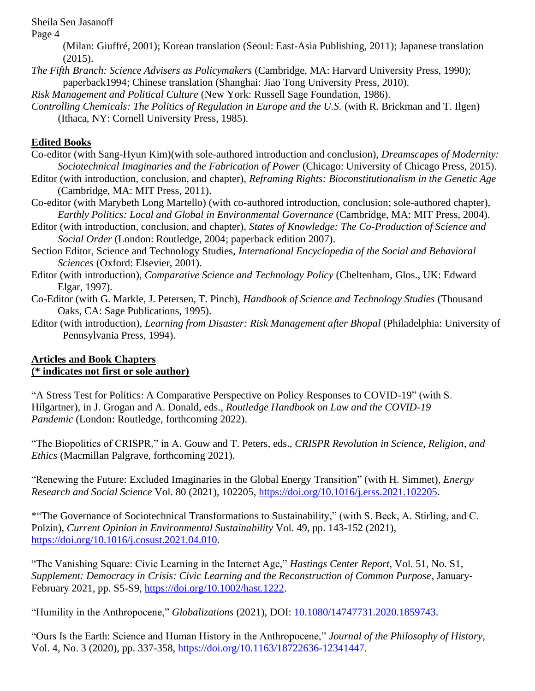Page 4

(Milan: Giuffré, 2001); Korean translation (Seoul: East-Asia Publishing, 2011); Japanese translation (2015).

*The Fifth Branch: Science Advisers as Policymakers* (Cambridge, MA: Harvard University Press, 1990); paperback1994; Chinese translation (Shanghai: Jiao Tong University Press, 2010).

*Risk Management and Political Culture* (New York: Russell Sage Foundation, 1986).

*Controlling Chemicals: The Politics of Regulation in Europe and the U.S.* (with R. Brickman and T. Ilgen) (Ithaca, NY: Cornell University Press, 1985).

# **Edited Books**

- Co-editor (with Sang-Hyun Kim)(with sole-authored introduction and conclusion), *Dreamscapes of Modernity: Sociotechnical Imaginaries and the Fabrication of Power* (Chicago: University of Chicago Press, 2015).
- Editor (with introduction, conclusion, and chapter), *Reframing Rights: Bioconstitutionalism in the Genetic Age* (Cambridge, MA: MIT Press, 2011).
- Co-editor (with Marybeth Long Martello) (with co-authored introduction, conclusion; sole-authored chapter), *Earthly Politics: Local and Global in Environmental Governance* (Cambridge, MA: MIT Press, 2004).
- Editor (with introduction, conclusion, and chapter), *States of Knowledge: The Co-Production of Science and Social Order* (London: Routledge, 2004; paperback edition 2007).
- Section Editor, Science and Technology Studies, *International Encyclopedia of the Social and Behavioral Sciences* (Oxford: Elsevier, 2001).
- Editor (with introduction), *Comparative Science and Technology Policy* (Cheltenham, Glos., UK: Edward Elgar, 1997).
- Co-Editor (with G. Markle, J. Petersen, T. Pinch), *Handbook of Science and Technology Studies* (Thousand Oaks, CA: Sage Publications, 1995).
- Editor (with introduction), *Learning from Disaster: Risk Management after Bhopal* (Philadelphia: University of Pennsylvania Press, 1994).

### **Articles and Book Chapters (\* indicates not first or sole author)**

"A Stress Test for Politics: A Comparative Perspective on Policy Responses to COVID-19" (with S. Hilgartner), in J. Grogan and A. Donald, eds., *Routledge Handbook on Law and the COVID-19 Pandemic* (London: Routledge, forthcoming 2022).

"The Biopolitics of CRISPR," in A. Gouw and T. Peters, eds., *CRISPR Revolution in Science, Religion, and Ethics* (Macmillan Palgrave, forthcoming 2021).

"Renewing the Future: Excluded Imaginaries in the Global Energy Transition" (with H. Simmet), *Energy Research and Social Science* Vol. 80 (2021), 102205, [https://doi.org/10.1016/j.erss.2021.102205.](https://doi.org/10.1016/j.erss.2021.102205)

\*"The Governance of Sociotechnical Transformations to Sustainability," (with S. Beck, A. Stirling, and C. Polzin), *Current Opinion in Environmental Sustainability* Vol. 49, pp. 143-152 (2021), [https://doi.org/10.1016/j.cosust.2021.04.010.](https://doi.org/10.1016/j.cosust.2021.04.010)

"The Vanishing Square: Civic Learning in the Internet Age," *Hastings Center Report*, Vol. 51, No. S1, *Supplement: Democracy in Crisis: Civic Learning and the Reconstruction of Common Purpose*, January‐ February 2021, pp. S5-S9, [https://doi.org/10.1002/hast.1222.](https://doi.org/10.1002/hast.1222)

"Humility in the Anthropocene," *Globalizations* (2021), DOI: [10.1080/14747731.2020.1859743.](https://doi.org/10.1080/14747731.2020.1859743)

"Ours Is the Earth: Science and Human History in the Anthropocene," *Journal of the Philosophy of History*, Vol. 4, No. 3 (2020), pp. 337-358, [https://doi.org/10.1163/18722636-12341447.](https://doi.org/10.1163/18722636-12341447)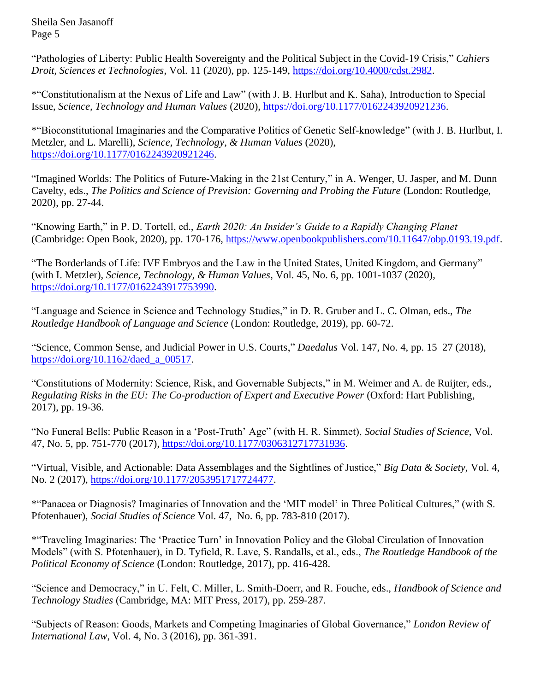"Pathologies of Liberty: Public Health Sovereignty and the Political Subject in the Covid-19 Crisis," *Cahiers Droit, Sciences et Technologies*, Vol. 11 (2020), pp. 125-149, [https://doi.org/10.4000/cdst.2982.](https://doi.org/10.4000/cdst.2982)

\*"Constitutionalism at the Nexus of Life and Law" (with J. B. Hurlbut and K. Saha), Introduction to Special Issue, *Science, Technology and Human Values* (2020), [https://doi.org/10.1177/0162243920921236.](https://doi.org/10.1177%2F0162243920921236)

\*"Bioconstitutional Imaginaries and the Comparative Politics of Genetic Self-knowledge" (with J. B. Hurlbut, I. Metzler, and L. Marelli), *Science, Technology, & Human Values* (2020), [https://doi.org/10.1177/0162243920921246.](https://doi.org/10.1177%2F0162243920921246)

"Imagined Worlds: The Politics of Future-Making in the 21st Century," in A. Wenger, U. Jasper, and M. Dunn Cavelty, eds., *The Politics and Science of Prevision: Governing and Probing the Future* (London: Routledge, 2020), pp. 27-44.

"Knowing Earth," in P. D. Tortell, ed., *Earth 2020: An Insider's Guide to a Rapidly Changing Planet* (Cambridge: Open Book, 2020), pp. 170-176, [https://www.openbookpublishers.com/10.11647/obp.0193.19.pdf.](https://www.openbookpublishers.com/10.11647/obp.0193.19.pdf)

"The Borderlands of Life: IVF Embryos and the Law in the United States, United Kingdom, and Germany" (with I. Metzler), *Science, Technology, & Human Values,* Vol. 45, No. 6, pp. 1001-1037 (2020), [https://doi.org/10.1177/0162243917753990.](https://doi.org/10.1177%2F0162243917753990)

"Language and Science in Science and Technology Studies," in D. R. Gruber and L. C. Olman, eds., *The Routledge Handbook of Language and Science* (London: Routledge, 2019), pp. 60-72.

"Science, Common Sense, and Judicial Power in U.S. Courts," *Daedalus* Vol. 147, No. 4, pp. 15–27 (2018), [https://doi.org/10.1162/daed\\_a\\_00517.](https://doi.org/10.1162/daed_a_00517)

"Constitutions of Modernity: Science, Risk, and Governable Subjects," in M. Weimer and A. de Ruijter, eds., *Regulating Risks in the EU: The Co-production of Expert and Executive Power* (Oxford: Hart Publishing, 2017), pp. 19-36.

"No Funeral Bells: Public Reason in a 'Post-Truth' Age" (with H. R. Simmet), *Social Studies of Science*, Vol. 47, No. 5, pp. 751-770 (2017), [https://doi.org/10.1177/0306312717731936.](https://doi.org/10.1177%2F0306312717731936)

"Virtual, Visible, and Actionable: Data Assemblages and the Sightlines of Justice," *Big Data & Society*, Vol. 4, No. 2 (2017), [https://doi.org/10.1177/2053951717724477.](https://doi.org/10.1177%2F2053951717724477)

\*"Panacea or Diagnosis? Imaginaries of Innovation and the 'MIT model' in Three Political Cultures," (with S. Pfotenhauer), *Social Studies of Science* Vol. 47, No. 6, pp. 783-810 (2017).

\*"Traveling Imaginaries: The 'Practice Turn' in Innovation Policy and the Global Circulation of Innovation Models" (with S. Pfotenhauer), in D. Tyfield, R. Lave, S. Randalls, et al., eds., *The Routledge Handbook of the Political Economy of Science* (London: Routledge, 2017), pp. 416-428.

"Science and Democracy," in U. Felt, C. Miller, L. Smith-Doerr, and R. Fouche, eds., *Handbook of Science and Technology Studies* (Cambridge, MA: MIT Press, 2017), pp. 259-287.

"Subjects of Reason: Goods, Markets and Competing Imaginaries of Global Governance," *London Review of International Law*, Vol. 4, No. 3 (2016), pp. 361-391.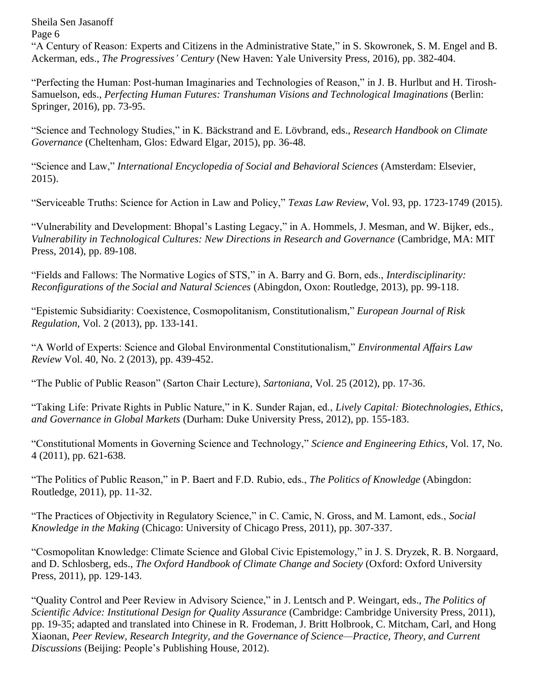"A Century of Reason: Experts and Citizens in the Administrative State," in S. Skowronek, S. M. Engel and B. Ackerman, eds., *The Progressives' Century* (New Haven: Yale University Press, 2016), pp. 382-404.

"Perfecting the Human: Post-human Imaginaries and Technologies of Reason," in J. B. Hurlbut and H. Tirosh-Samuelson, eds., *Perfecting Human Futures: Transhuman Visions and Technological Imaginations* (Berlin: Springer, 2016), pp. 73-95.

"Science and Technology Studies," in K. Bäckstrand and E. Lövbrand, eds., *Research Handbook on Climate Governance* (Cheltenham, Glos: Edward Elgar, 2015), pp. 36-48.

"Science and Law," *International Encyclopedia of Social and Behavioral Sciences* (Amsterdam: Elsevier, 2015).

"Serviceable Truths: Science for Action in Law and Policy," *Texas Law Review*, Vol. 93, pp. 1723-1749 (2015).

"Vulnerability and Development: Bhopal's Lasting Legacy," in A. Hommels, J. Mesman, and W. Bijker, eds., *Vulnerability in Technological Cultures: New Directions in Research and Governance* (Cambridge, MA: MIT Press, 2014), pp. 89-108.

"Fields and Fallows: The Normative Logics of STS," in A. Barry and G. Born, eds., *Interdisciplinarity: Reconfigurations of the Social and Natural Sciences* (Abingdon, Oxon: Routledge, 2013), pp. 99-118.

"Epistemic Subsidiarity: Coexistence, Cosmopolitanism, Constitutionalism," *European Journal of Risk Regulation*, Vol. 2 (2013), pp. 133-141.

"A World of Experts: Science and Global Environmental Constitutionalism," *Environmental Affairs Law Review* Vol. 40, No. 2 (2013), pp. 439-452.

"The Public of Public Reason" (Sarton Chair Lecture), *Sartoniana*, Vol. 25 (2012), pp. 17-36.

"Taking Life: Private Rights in Public Nature," in K. Sunder Rajan, ed., *Lively Capital: Biotechnologies, Ethics, and Governance in Global Markets* (Durham: Duke University Press, 2012), pp. 155-183.

"Constitutional Moments in Governing Science and Technology," *Science and Engineering Ethics*, Vol. 17, No. 4 (2011), pp. 621-638.

"The Politics of Public Reason," in P. Baert and F.D. Rubio, eds., *The Politics of Knowledge* (Abingdon: Routledge, 2011), pp. 11-32.

"The Practices of Objectivity in Regulatory Science," in C. Camic, N. Gross, and M. Lamont, eds., *Social Knowledge in the Making* (Chicago: University of Chicago Press, 2011), pp. 307-337.

"Cosmopolitan Knowledge: Climate Science and Global Civic Epistemology," in J. S. Dryzek, R. B. Norgaard, and D. Schlosberg, eds., *The Oxford Handbook of Climate Change and Society* (Oxford: Oxford University Press, 2011), pp. 129-143.

"Quality Control and Peer Review in Advisory Science," in J. Lentsch and P. Weingart, eds., *The Politics of Scientific Advice: Institutional Design for Quality Assurance* (Cambridge: Cambridge University Press, 2011), pp. 19-35; adapted and translated into Chinese in R. Frodeman, J. Britt Holbrook, C. Mitcham, Carl, and Hong Xiaonan, *Peer Review, Research Integrity, and the Governance of Science—Practice, Theory, and Current Discussions* (Beijing: People's Publishing House, 2012).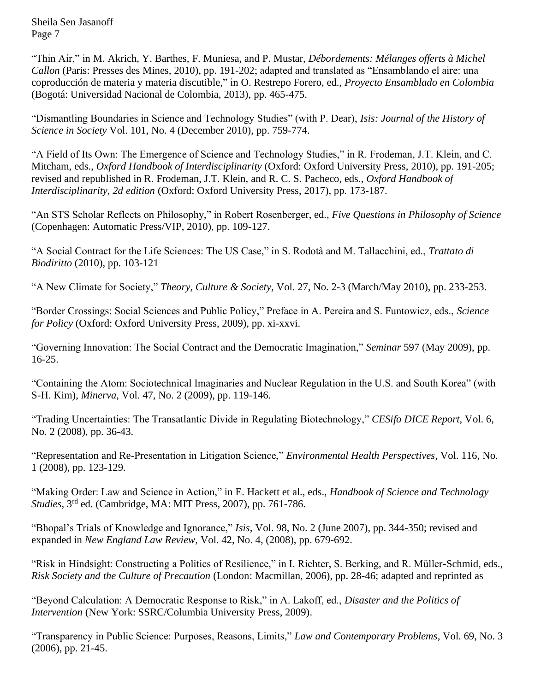"Thin Air," in M. Akrich, Y. Barthes, F. Muniesa, and P. Mustar, *Débordements: Mélanges offerts à Michel Callon* (Paris: Presses des Mines, 2010), pp. 191-202; adapted and translated as "Ensamblando el aire: una coproducción de materia y materia discutible," in O. Restrepo Forero, ed., *Proyecto Ensamblado en Colombia* (Bogotá: Universidad Nacional de Colombia, 2013), pp. 465-475.

"Dismantling Boundaries in Science and Technology Studies" (with P. Dear), *Isis: Journal of the History of Science in Society* Vol. 101, No. 4 (December 2010), pp. 759-774.

"A Field of Its Own: The Emergence of Science and Technology Studies," in R. Frodeman, J.T. Klein, and C. Mitcham, eds., *Oxford Handbook of Interdisciplinarity* (Oxford: Oxford University Press, 2010), pp. 191-205; revised and republished in R. Frodeman, J.T. Klein, and R. C. S. Pacheco, eds., *Oxford Handbook of Interdisciplinarity, 2d edition* (Oxford: Oxford University Press, 2017), pp. 173-187.

"An STS Scholar Reflects on Philosophy," in Robert Rosenberger, ed., *Five Questions in Philosophy of Science* (Copenhagen: Automatic Press/VIP, 2010), pp. 109-127.

"A Social Contract for the Life Sciences: The US Case," in S. Rodotà and M. Tallacchini, ed., *Trattato di Biodiritto* (2010), pp. 103-121

"A New Climate for Society," *Theory, Culture & Society,* Vol. 27, No. 2-3 (March/May 2010), pp. 233-253.

"Border Crossings: Social Sciences and Public Policy," Preface in A. Pereira and S. Funtowicz, eds., *Science for Policy* (Oxford: Oxford University Press, 2009), pp. xi-xxvi.

"Governing Innovation: The Social Contract and the Democratic Imagination," *Seminar* 597 (May 2009), pp. 16-25.

"Containing the Atom: Sociotechnical Imaginaries and Nuclear Regulation in the U.S. and South Korea" (with S-H. Kim), *Minerva*, Vol. 47, No. 2 (2009), pp. 119-146.

"Trading Uncertainties: The Transatlantic Divide in Regulating Biotechnology," *CESifo DICE Report*, Vol. 6, No. 2 (2008), pp. 36-43.

"Representation and Re-Presentation in Litigation Science," *Environmental Health Perspectives*, Vol. 116, No. 1 (2008), pp. 123-129.

"Making Order: Law and Science in Action," in E. Hackett et al., eds., *Handbook of Science and Technology Studies*, 3rd ed. (Cambridge, MA: MIT Press, 2007), pp. 761-786.

"Bhopal's Trials of Knowledge and Ignorance," *Isis*, Vol. 98, No. 2 (June 2007), pp. 344-350; revised and expanded in *New England Law Review*, Vol. 42, No. 4, (2008), pp. 679-692.

"Risk in Hindsight: Constructing a Politics of Resilience," in I. Richter, S. Berking, and R. Müller-Schmid, eds., *Risk Society and the Culture of Precaution* (London: Macmillan, 2006), pp. 28-46; adapted and reprinted as

"Beyond Calculation: A Democratic Response to Risk," in A. Lakoff, ed., *Disaster and the Politics of Intervention* (New York: SSRC/Columbia University Press, 2009).

"Transparency in Public Science: Purposes, Reasons, Limits," *Law and Contemporary Problems*, Vol. 69, No. 3 (2006), pp. 21-45.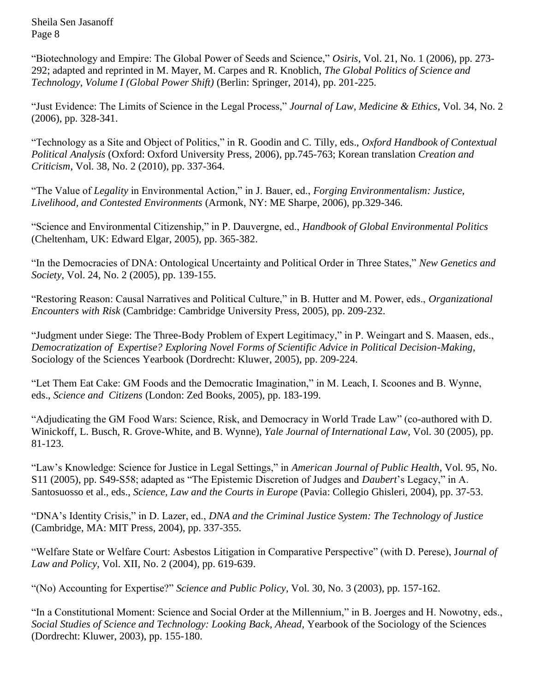"Biotechnology and Empire: The Global Power of Seeds and Science," *Osiris*, Vol. 21, No. 1 (2006), pp. 273- 292; adapted and reprinted in M. Mayer, M. Carpes and R. Knoblich, *The Global Politics of Science and Technology, Volume I (Global Power Shift)* (Berlin: Springer, 2014), pp. 201-225.

"Just Evidence: The Limits of Science in the Legal Process," *Journal of Law, Medicine & Ethics*, Vol. 34, No. 2 (2006), pp. 328-341.

"Technology as a Site and Object of Politics," in R. Goodin and C. Tilly, eds., *Oxford Handbook of Contextual Political Analysis* (Oxford: Oxford University Press, 2006), pp.745-763; Korean translation *Creation and Criticism*, Vol. 38, No. 2 (2010), pp. 337-364.

"The Value of *Legality* in Environmental Action," in J. Bauer, ed., *Forging Environmentalism: Justice, Livelihood, and Contested Environments* (Armonk, NY: ME Sharpe, 2006), pp.329-346.

"Science and Environmental Citizenship," in P. Dauvergne, ed., *Handbook of Global Environmental Politics* (Cheltenham, UK: Edward Elgar, 2005), pp. 365-382.

"In the Democracies of DNA: Ontological Uncertainty and Political Order in Three States," *New Genetics and Society*, Vol. 24, No. 2 (2005), pp. 139-155.

"Restoring Reason: Causal Narratives and Political Culture," in B. Hutter and M. Power, eds., *Organizational Encounters with Risk* (Cambridge: Cambridge University Press, 2005), pp. 209-232.

"Judgment under Siege: The Three-Body Problem of Expert Legitimacy," in P. Weingart and S. Maasen, eds., *Democratization of Expertise? Exploring Novel Forms of Scientific Advice in Political Decision-Making*, Sociology of the Sciences Yearbook (Dordrecht: Kluwer, 2005), pp. 209-224.

"Let Them Eat Cake: GM Foods and the Democratic Imagination," in M. Leach, I. Scoones and B. Wynne, eds., *Science and Citizens* (London: Zed Books, 2005), pp. 183-199.

"Adjudicating the GM Food Wars: Science, Risk, and Democracy in World Trade Law" (co-authored with D. Winickoff, L. Busch, R. Grove-White, and B. Wynne), *Yale Journal of International Law*, Vol. 30 (2005), pp. 81-123.

"Law's Knowledge: Science for Justice in Legal Settings," in *American Journal of Public Health*, Vol. 95, No. S11 (2005), pp. S49-S58; adapted as "The Epistemic Discretion of Judges and *Daubert*'s Legacy," in A. Santosuosso et al., eds., *Science, Law and the Courts in Europe* (Pavia: Collegio Ghisleri, 2004), pp. 37-53.

"DNA's Identity Crisis," in D. Lazer, ed., *DNA and the Criminal Justice System: The Technology of Justice* (Cambridge, MA: MIT Press, 2004), pp. 337-355.

"Welfare State or Welfare Court: Asbestos Litigation in Comparative Perspective" (with D. Perese), J*ournal of Law and Policy*, Vol. XII, No. 2 (2004), pp. 619-639.

"(No) Accounting for Expertise?" *Science and Public Policy*, Vol. 30, No. 3 (2003), pp. 157-162.

"In a Constitutional Moment: Science and Social Order at the Millennium," in B. Joerges and H. Nowotny, eds., *Social Studies of Science and Technology: Looking Back, Ahead*, Yearbook of the Sociology of the Sciences (Dordrecht: Kluwer, 2003), pp. 155-180.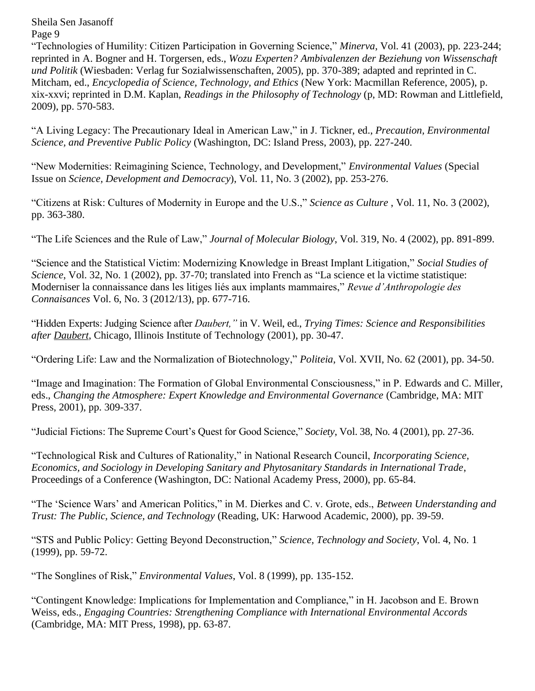"Technologies of Humility: Citizen Participation in Governing Science," *Minerva*, Vol. 41 (2003), pp. 223-244; reprinted in A. Bogner and H. Torgersen, eds., *Wozu Experten? Ambivalenzen der Beziehung von Wissenschaft und Politik* (Wiesbaden: Verlag fur Sozialwissenschaften, 2005), pp. 370-389; adapted and reprinted in C. Mitcham, ed., *Encyclopedia of Science, Technology, and Ethics* (New York: Macmillan Reference, 2005), p. xix-xxvi; reprinted in D.M. Kaplan, *Readings in the Philosophy of Technology* (p, MD: Rowman and Littlefield, 2009), pp. 570-583.

"A Living Legacy: The Precautionary Ideal in American Law," in J. Tickner, ed., *Precaution, Environmental Science, and Preventive Public Policy* (Washington, DC: Island Press, 2003), pp. 227-240.

"New Modernities: Reimagining Science, Technology, and Development," *Environmental Values* (Special Issue on *Science, Development and Democracy*), Vol. 11, No. 3 (2002), pp. 253-276.

"Citizens at Risk: Cultures of Modernity in Europe and the U.S.," *Science as Culture* , Vol. 11, No. 3 (2002), pp. 363-380.

"The Life Sciences and the Rule of Law," *Journal of Molecular Biology*, Vol. 319, No. 4 (2002), pp. 891-899.

"Science and the Statistical Victim: Modernizing Knowledge in Breast Implant Litigation," *Social Studies of Science*, Vol. 32, No. 1 (2002), pp. 37-70; translated into French as "La science et la victime statistique: Moderniser la connaissance dans les litiges liés aux implants mammaires," *Revue d'Anthropologie des Connaisances* Vol. 6, No. 3 (2012/13), pp. 677-716.

"Hidden Experts: Judging Science after *Daubert,"* in V. Weil, ed., *Trying Times: Science and Responsibilities after Daubert*, Chicago, Illinois Institute of Technology (2001), pp. 30-47.

"Ordering Life: Law and the Normalization of Biotechnology," *Politeia*, Vol. XVII, No. 62 (2001), pp. 34-50.

"Image and Imagination: The Formation of Global Environmental Consciousness," in P. Edwards and C. Miller, eds., *Changing the Atmosphere: Expert Knowledge and Environmental Governance* (Cambridge, MA: MIT Press, 2001), pp. 309-337.

"Judicial Fictions: The Supreme Court's Quest for Good Science," *Society*, Vol. 38, No. 4 (2001), pp. 27-36.

"Technological Risk and Cultures of Rationality," in National Research Council, *Incorporating Science, Economics, and Sociology in Developing Sanitary and Phytosanitary Standards in International Trade*, Proceedings of a Conference (Washington, DC: National Academy Press, 2000), pp. 65-84.

"The 'Science Wars' and American Politics," in M. Dierkes and C. v. Grote, eds., *Between Understanding and Trust: The Public, Science, and Technology* (Reading, UK: Harwood Academic, 2000), pp. 39-59.

"STS and Public Policy: Getting Beyond Deconstruction," *Science, Technology and Society*, Vol. 4, No. 1 (1999), pp. 59-72.

"The Songlines of Risk," *Environmental Values*, Vol. 8 (1999), pp. 135-152.

"Contingent Knowledge: Implications for Implementation and Compliance," in H. Jacobson and E. Brown Weiss, eds., *Engaging Countries: Strengthening Compliance with International Environmental Accords* (Cambridge, MA: MIT Press, 1998), pp. 63-87.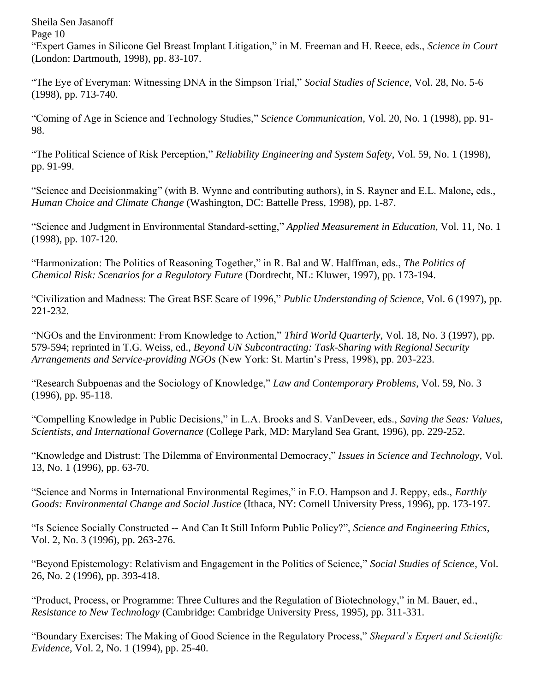"Expert Games in Silicone Gel Breast Implant Litigation," in M. Freeman and H. Reece, eds., *Science in Court* (London: Dartmouth, 1998), pp. 83-107.

"The Eye of Everyman: Witnessing DNA in the Simpson Trial," *Social Studies of Science*, Vol. 28, No. 5-6 (1998), pp. 713-740.

"Coming of Age in Science and Technology Studies," *Science Communication*, Vol. 20, No. 1 (1998), pp. 91- 98.

"The Political Science of Risk Perception," *Reliability Engineering and System Safety*, Vol. 59, No. 1 (1998), pp. 91-99.

"Science and Decisionmaking" (with B. Wynne and contributing authors), in S. Rayner and E.L. Malone, eds., *Human Choice and Climate Change* (Washington, DC: Battelle Press, 1998), pp. 1-87.

"Science and Judgment in Environmental Standard-setting," *Applied Measurement in Education*, Vol. 11, No. 1 (1998), pp. 107-120.

"Harmonization: The Politics of Reasoning Together," in R. Bal and W. Halffman, eds., *The Politics of Chemical Risk: Scenarios for a Regulatory Future* (Dordrecht, NL: Kluwer, 1997), pp. 173-194.

"Civilization and Madness: The Great BSE Scare of 1996," *Public Understanding of Science*, Vol. 6 (1997), pp. 221-232.

"NGOs and the Environment: From Knowledge to Action," *Third World Quarterly*, Vol. 18, No. 3 (1997), pp. 579-594; reprinted in T.G. Weiss, ed., *Beyond UN Subcontracting: Task-Sharing with Regional Security Arrangements and Service-providing NGOs* (New York: St. Martin's Press, 1998), pp. 203-223.

"Research Subpoenas and the Sociology of Knowledge," *Law and Contemporary Problems*, Vol. 59, No. 3 (1996), pp. 95-118.

"Compelling Knowledge in Public Decisions," in L.A. Brooks and S. VanDeveer, eds., *Saving the Seas: Values, Scientists, and International Governance* (College Park, MD: Maryland Sea Grant, 1996), pp. 229-252.

"Knowledge and Distrust: The Dilemma of Environmental Democracy," *Issues in Science and Technology*, Vol. 13, No. 1 (1996), pp. 63-70.

"Science and Norms in International Environmental Regimes," in F.O. Hampson and J. Reppy, eds., *Earthly Goods: Environmental Change and Social Justice* (Ithaca, NY: Cornell University Press, 1996), pp. 173-197.

"Is Science Socially Constructed -- And Can It Still Inform Public Policy?", *Science and Engineering Ethics*, Vol. 2, No. 3 (1996), pp. 263-276.

"Beyond Epistemology: Relativism and Engagement in the Politics of Science," *Social Studies of Science*, Vol. 26, No. 2 (1996), pp. 393-418.

"Product, Process, or Programme: Three Cultures and the Regulation of Biotechnology," in M. Bauer, ed., *Resistance to New Technology* (Cambridge: Cambridge University Press, 1995), pp. 311-331.

"Boundary Exercises: The Making of Good Science in the Regulatory Process," *Shepard's Expert and Scientific Evidence*, Vol. 2, No. 1 (1994), pp. 25-40.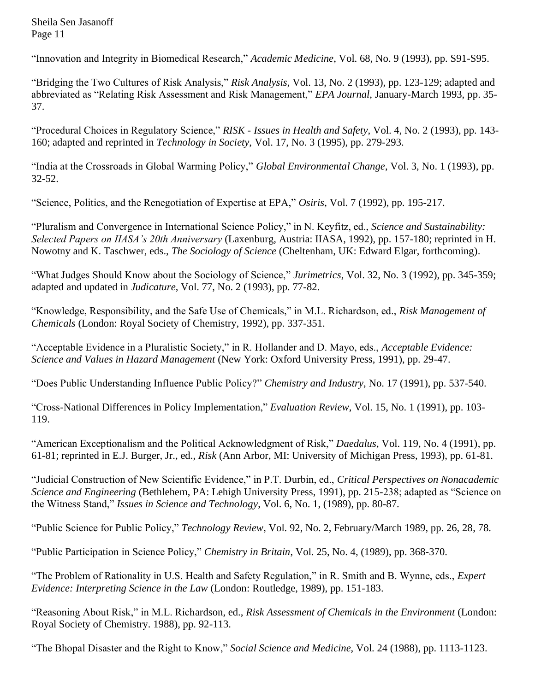"Innovation and Integrity in Biomedical Research," *Academic Medicine*, Vol. 68, No. 9 (1993), pp. S91-S95.

"Bridging the Two Cultures of Risk Analysis," *Risk Analysis*, Vol. 13, No. 2 (1993), pp. 123-129; adapted and abbreviated as "Relating Risk Assessment and Risk Management," *EPA Journal*, January-March 1993, pp. 35- 37.

"Procedural Choices in Regulatory Science," *RISK - Issues in Health and Safety*, Vol. 4, No. 2 (1993), pp. 143- 160; adapted and reprinted in *Technology in Society*, Vol. 17, No. 3 (1995), pp. 279-293.

"India at the Crossroads in Global Warming Policy," *Global Environmental Change*, Vol. 3, No. 1 (1993), pp. 32-52.

"Science, Politics, and the Renegotiation of Expertise at EPA," *Osiris*, Vol. 7 (1992), pp. 195-217.

"Pluralism and Convergence in International Science Policy," in N. Keyfitz, ed., *Science and Sustainability: Selected Papers on IIASA's 20th Anniversary* (Laxenburg, Austria: IIASA, 1992), pp. 157-180; reprinted in H. Nowotny and K. Taschwer, eds., *The Sociology of Science* (Cheltenham, UK: Edward Elgar, forthcoming).

"What Judges Should Know about the Sociology of Science," *Jurimetrics*, Vol. 32, No. 3 (1992), pp. 345-359; adapted and updated in *Judicature*, Vol. 77, No. 2 (1993), pp. 77-82.

"Knowledge, Responsibility, and the Safe Use of Chemicals," in M.L. Richardson, ed., *Risk Management of Chemicals* (London: Royal Society of Chemistry, 1992), pp. 337-351.

"Acceptable Evidence in a Pluralistic Society," in R. Hollander and D. Mayo, eds., *Acceptable Evidence: Science and Values in Hazard Management* (New York: Oxford University Press, 1991), pp. 29-47.

"Does Public Understanding Influence Public Policy?" *Chemistry and Industry*, No. 17 (1991), pp. 537-540.

"Cross-National Differences in Policy Implementation," *Evaluation Review*, Vol. 15, No. 1 (1991), pp. 103- 119.

"American Exceptionalism and the Political Acknowledgment of Risk," *Daedalus*, Vol. 119, No. 4 (1991), pp. 61-81; reprinted in E.J. Burger, Jr., ed., *Risk* (Ann Arbor, MI: University of Michigan Press, 1993), pp. 61-81.

"Judicial Construction of New Scientific Evidence," in P.T. Durbin, ed., *Critical Perspectives on Nonacademic Science and Engineering* (Bethlehem, PA: Lehigh University Press, 1991), pp. 215-238; adapted as "Science on the Witness Stand," *Issues in Science and Technology*, Vol. 6, No. 1, (1989), pp. 80-87.

"Public Science for Public Policy," *Technology Review*, Vol. 92, No. 2, February/March 1989, pp. 26, 28, 78.

"Public Participation in Science Policy," *Chemistry in Britain*, Vol. 25, No. 4, (1989), pp. 368-370.

"The Problem of Rationality in U.S. Health and Safety Regulation," in R. Smith and B. Wynne, eds., *Expert Evidence: Interpreting Science in the Law* (London: Routledge, 1989), pp. 151-183.

"Reasoning About Risk," in M.L. Richardson, ed., *Risk Assessment of Chemicals in the Environment* (London: Royal Society of Chemistry. 1988), pp. 92-113.

"The Bhopal Disaster and the Right to Know," *Social Science and Medicine*, Vol. 24 (1988), pp. 1113-1123.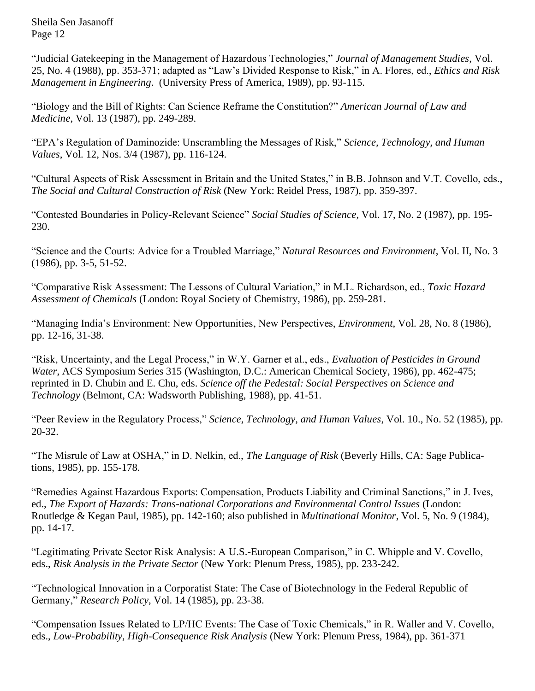"Judicial Gatekeeping in the Management of Hazardous Technologies," *Journal of Management Studies*, Vol. 25, No. 4 (1988), pp. 353-371; adapted as "Law's Divided Response to Risk," in A. Flores, ed., *Ethics and Risk Management in Engineering*. (University Press of America, 1989), pp. 93-115.

"Biology and the Bill of Rights: Can Science Reframe the Constitution?" *American Journal of Law and Medicine*, Vol. 13 (1987), pp. 249-289.

"EPA's Regulation of Daminozide: Unscrambling the Messages of Risk," *Science, Technology, and Human Values*, Vol. 12, Nos. 3/4 (1987), pp. 116-124.

"Cultural Aspects of Risk Assessment in Britain and the United States," in B.B. Johnson and V.T. Covello, eds., *The Social and Cultural Construction of Risk* (New York: Reidel Press, 1987), pp. 359-397.

"Contested Boundaries in Policy-Relevant Science" *Social Studies of Science*, Vol. 17, No. 2 (1987), pp. 195- 230.

"Science and the Courts: Advice for a Troubled Marriage," *Natural Resources and Environment*, Vol. II, No. 3 (1986), pp. 3-5, 51-52.

"Comparative Risk Assessment: The Lessons of Cultural Variation," in M.L. Richardson, ed., *Toxic Hazard Assessment of Chemicals* (London: Royal Society of Chemistry, 1986), pp. 259-281.

"Managing India's Environment: New Opportunities, New Perspectives, *Environment*, Vol. 28, No. 8 (1986), pp. 12-16, 31-38.

"Risk, Uncertainty, and the Legal Process," in W.Y. Garner et al., eds., *Evaluation of Pesticides in Ground Water*, ACS Symposium Series 315 (Washington, D.C.: American Chemical Society, 1986), pp. 462-475; reprinted in D. Chubin and E. Chu, eds. *Science off the Pedestal: Social Perspectives on Science and Technology* (Belmont, CA: Wadsworth Publishing, 1988), pp. 41-51.

"Peer Review in the Regulatory Process," *Science, Technology, and Human Values*, Vol. 10., No. 52 (1985), pp. 20-32.

"The Misrule of Law at OSHA," in D. Nelkin, ed., *The Language of Risk* (Beverly Hills, CA: Sage Publications, 1985), pp. 155-178.

"Remedies Against Hazardous Exports: Compensation, Products Liability and Criminal Sanctions," in J. Ives, ed., *The Export of Hazards: Trans-national Corporations and Environmental Control Issues* (London: Routledge & Kegan Paul, 1985), pp. 142-160; also published in *Multinational Monitor*, Vol. 5, No. 9 (1984), pp. 14-17.

"Legitimating Private Sector Risk Analysis: A U.S.-European Comparison," in C. Whipple and V. Covello, eds., *Risk Analysis in the Private Sector* (New York: Plenum Press, 1985), pp. 233-242.

"Technological Innovation in a Corporatist State: The Case of Biotechnology in the Federal Republic of Germany," *Research Policy*, Vol. 14 (1985), pp. 23-38.

"Compensation Issues Related to LP/HC Events: The Case of Toxic Chemicals," in R. Waller and V. Covello, eds., *Low-Probability, High-Consequence Risk Analysis* (New York: Plenum Press, 1984), pp. 361-371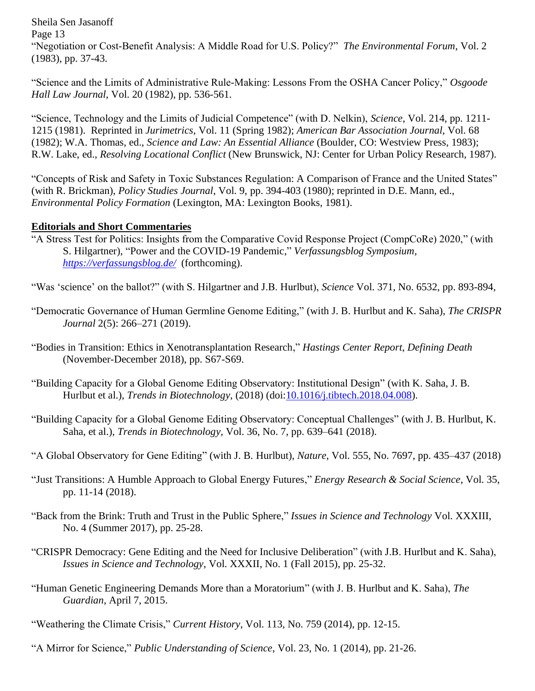Sheila Sen Jasanoff Page 13 "Negotiation or Cost-Benefit Analysis: A Middle Road for U.S. Policy?" *The Environmental Forum*, Vol. 2 (1983), pp. 37-43.

"Science and the Limits of Administrative Rule-Making: Lessons From the OSHA Cancer Policy," *Osgoode Hall Law Journal*, Vol. 20 (1982), pp. 536-561.

"Science, Technology and the Limits of Judicial Competence" (with D. Nelkin), *Science*, Vol. 214, pp. 1211- 1215 (1981). Reprinted in *Jurimetrics*, Vol. 11 (Spring 1982); *American Bar Association Journal*, Vol. 68 (1982); W.A. Thomas, ed., *Science and Law: An Essential Alliance* (Boulder, CO: Westview Press, 1983); R.W. Lake, ed., *Resolving Locational Conflict* (New Brunswick, NJ: Center for Urban Policy Research, 1987).

"Concepts of Risk and Safety in Toxic Substances Regulation: A Comparison of France and the United States" (with R. Brickman), *Policy Studies Journal*, Vol. 9, pp. 394-403 (1980); reprinted in D.E. Mann, ed., *Environmental Policy Formation* (Lexington, MA: Lexington Books, 1981).

### **Editorials and Short Commentaries**

"A Stress Test for Politics: Insights from the Comparative Covid Response Project (CompCoRe) 2020," (with S. Hilgartner), "Power and the COVID-19 Pandemic," *Verfassungsblog Symposium, <https://verfassungsblog.de/>* (forthcoming).

"Was 'science' on the ballot?" (with S. Hilgartner and J.B. Hurlbut), *Science* Vol. 371, No. 6532, pp. 893-894,

- "Democratic Governance of Human Germline Genome Editing," (with J. B. Hurlbut and K. Saha), *The CRISPR Journal* 2(5): 266–271 (2019).
- "Bodies in Transition: Ethics in Xenotransplantation Research," *Hastings Center Report*, *Defining Death* (November-December 2018), pp. S67-S69.
- "Building Capacity for a Global Genome Editing Observatory: Institutional Design" (with K. Saha, J. B. Hurlbut et al.), *Trends in Biotechnology*, (2018) (doi[:10.1016/j.tibtech.2018.04.008\)](https://doi.org/10.1016/j.tibtech.2018.04.008,).
- "Building Capacity for a Global Genome Editing Observatory: Conceptual Challenges" (with J. B. Hurlbut, K. Saha, et al.), *Trends in Biotechnology*, Vol. 36, No. 7, pp. 639–641 (2018).
- "A Global Observatory for Gene Editing" (with J. B. Hurlbut), *Nature*, Vol. 555, No. 7697, pp. 435–437 (2018)
- "Just Transitions: A Humble Approach to Global Energy Futures," *Energy Research & Social Science*, Vol. 35, pp. 11-14 (2018).
- "Back from the Brink: Truth and Trust in the Public Sphere," *Issues in Science and Technology* Vol. XXXIII, No. 4 (Summer 2017), pp. 25-28.
- "CRISPR Democracy: Gene Editing and the Need for Inclusive Deliberation" (with J.B. Hurlbut and K. Saha), *Issues in Science and Technology*, Vol. XXXII, No. 1 (Fall 2015), pp. 25-32.
- "Human Genetic Engineering Demands More than a Moratorium" (with J. B. Hurlbut and K. Saha), *The Guardian*, April 7, 2015.
- "Weathering the Climate Crisis," *Current History*, Vol. 113, No. 759 (2014), pp. 12-15.
- "A Mirror for Science," *Public Understanding of Science*, Vol. 23, No. 1 (2014), pp. 21-26.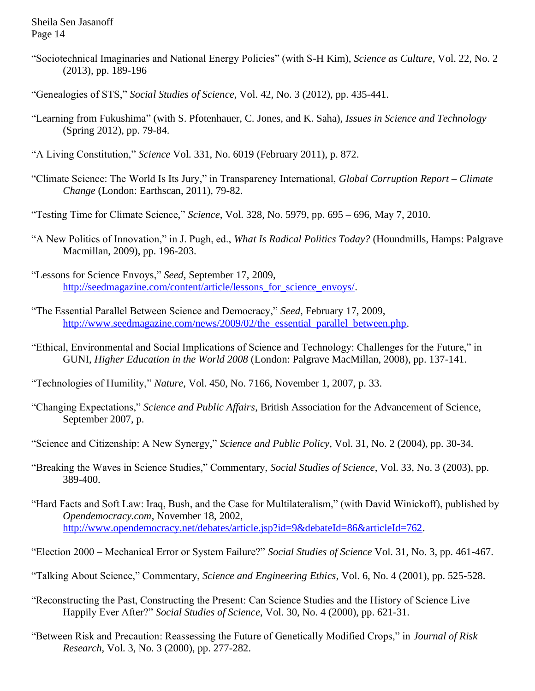- "Sociotechnical Imaginaries and National Energy Policies" (with S-H Kim), *Science as Culture*, Vol. 22, No. 2 (2013), pp. 189-196
- "Genealogies of STS," *Social Studies of Science*, Vol. 42, No. 3 (2012), pp. 435-441.
- "Learning from Fukushima" (with S. Pfotenhauer, C. Jones, and K. Saha), *Issues in Science and Technology* (Spring 2012), pp. 79-84.
- "A Living Constitution," *Science* Vol. 331, No. 6019 (February 2011), p. 872.
- "Climate Science: The World Is Its Jury," in Transparency International, *Global Corruption Report – Climate Change* (London: Earthscan, 2011), 79-82.
- "Testing Time for Climate Science," *Science*, Vol. 328, No. 5979, pp. 695 696, May 7, 2010.
- "A New Politics of Innovation," in J. Pugh, ed., *What Is Radical Politics Today?* (Houndmills, Hamps: Palgrave Macmillan, 2009), pp. 196-203.
- "Lessons for Science Envoys," *Seed*, September 17, 2009, [http://seedmagazine.com/content/article/lessons\\_for\\_science\\_envoys/.](http://seedmagazine.com/content/article/lessons_for_science_envoys/)
- "The Essential Parallel Between Science and Democracy," *Seed*, February 17, 2009, http://www.seedmagazine.com/news/2009/02/the essential parallel between.php.
- "Ethical, Environmental and Social Implications of Science and Technology: Challenges for the Future," in GUNI, *Higher Education in the World 2008* (London: Palgrave MacMillan, 2008), pp. 137-141.
- "Technologies of Humility," *Nature*, Vol. 450, No. 7166, November 1, 2007, p. 33.
- "Changing Expectations," *Science and Public Affairs*, British Association for the Advancement of Science, September 2007, p.
- "Science and Citizenship: A New Synergy," *Science and Public Policy*, Vol. 31, No. 2 (2004), pp. 30-34.
- "Breaking the Waves in Science Studies," Commentary, *Social Studies of Science*, Vol. 33, No. 3 (2003), pp. 389-400.
- "Hard Facts and Soft Law: Iraq, Bush, and the Case for Multilateralism," (with David Winickoff), published by *Opendemocracy.com*, November 18, 2002, [http://www.opendemocracy.net/debates/article.jsp?id=9&debateId=86&articleId=762.](http://www.opendemocracy.net/debates/article.jsp?id=9&debateId=86&articleId=762)
- "Election 2000 Mechanical Error or System Failure?" *Social Studies of Science* Vol. 31, No. 3, pp. 461-467.
- "Talking About Science," Commentary, *Science and Engineering Ethics*, Vol. 6, No. 4 (2001), pp. 525-528.
- "Reconstructing the Past, Constructing the Present: Can Science Studies and the History of Science Live Happily Ever After?" *Social Studies of Science*, Vol. 30, No. 4 (2000), pp. 621-31.
- "Between Risk and Precaution: Reassessing the Future of Genetically Modified Crops," in *Journal of Risk Research*, Vol. 3, No. 3 (2000), pp. 277-282.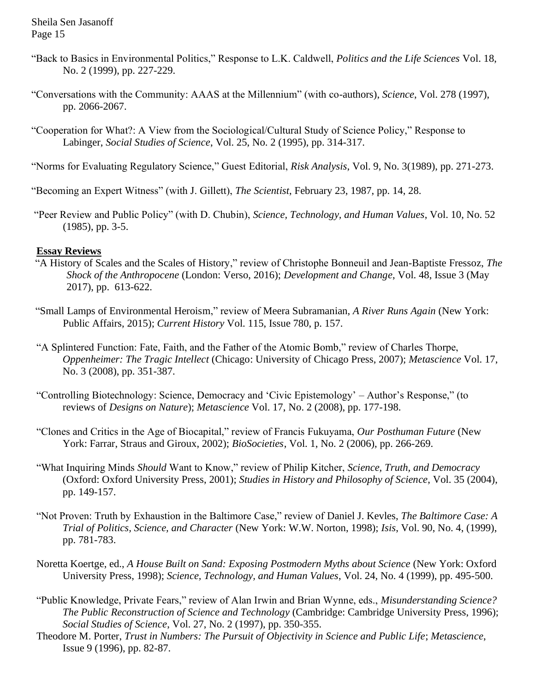- "Back to Basics in Environmental Politics," Response to L.K. Caldwell, *Politics and the Life Sciences* Vol. 18, No. 2 (1999), pp. 227-229.
- "Conversations with the Community: AAAS at the Millennium" (with co-authors), *Science*, Vol. 278 (1997), pp. 2066-2067.
- "Cooperation for What?: A View from the Sociological/Cultural Study of Science Policy," Response to Labinger, *Social Studies of Science*, Vol. 25, No. 2 (1995), pp. 314-317.
- "Norms for Evaluating Regulatory Science," Guest Editorial, *Risk Analysis*, Vol. 9, No. 3(1989), pp. 271-273.
- "Becoming an Expert Witness" (with J. Gillett), *The Scientist*, February 23, 1987, pp. 14, 28.
- "Peer Review and Public Policy" (with D. Chubin), *Science, Technology, and Human Values*, Vol. 10, No. 52 (1985), pp. 3-5.

### **Essay Reviews**

- "A History of Scales and the Scales of History," review of Christophe Bonneuil and Jean-Baptiste Fressoz, *The Shock of the Anthropocene* (London: Verso, 2016); *Development and Change*, Vol. 48, Issue 3 (May 2017), pp. 613-622.
- "Small Lamps of Environmental Heroism," review of Meera Subramanian, *A River Runs Again* (New York: Public Affairs, 2015); *Current History* Vol. 115, Issue 780, p. 157.
- "A Splintered Function: Fate, Faith, and the Father of the Atomic Bomb," review of Charles Thorpe, *Oppenheimer: The Tragic Intellect* (Chicago: University of Chicago Press, 2007); *Metascience* Vol. 17, No. 3 (2008), pp. 351-387.
- "Controlling Biotechnology: Science, Democracy and 'Civic Epistemology' Author's Response," (to reviews of *Designs on Nature*); *Metascience* Vol. 17, No. 2 (2008), pp. 177-198.
- "Clones and Critics in the Age of Biocapital," review of Francis Fukuyama, *Our Posthuman Future* (New York: Farrar, Straus and Giroux, 2002); *BioSocieties*, Vol. 1, No. 2 (2006), pp. 266-269.
- "What Inquiring Minds *Should* Want to Know," review of Philip Kitcher, *Science, Truth, and Democracy*  (Oxford: Oxford University Press, 2001); *Studies in History and Philosophy of Science*, Vol. 35 (2004), pp. 149-157.
- "Not Proven: Truth by Exhaustion in the Baltimore Case," review of Daniel J. Kevles, *The Baltimore Case: A Trial of Politics, Science, and Character* (New York: W.W. Norton, 1998); *Isis*, Vol. 90, No. 4, (1999), pp. 781-783.
- Noretta Koertge, ed., *A House Built on Sand: Exposing Postmodern Myths about Science* (New York: Oxford University Press, 1998); *Science, Technology, and Human Values*, Vol. 24, No. 4 (1999), pp. 495-500.
- "Public Knowledge, Private Fears," review of Alan Irwin and Brian Wynne, eds., *Misunderstanding Science? The Public Reconstruction of Science and Technology* (Cambridge: Cambridge University Press, 1996); *Social Studies of Science*, Vol. 27, No. 2 (1997), pp. 350-355.
- Theodore M. Porter, *Trust in Numbers: The Pursuit of Objectivity in Science and Public Life*; *Metascience*, Issue 9 (1996), pp. 82-87.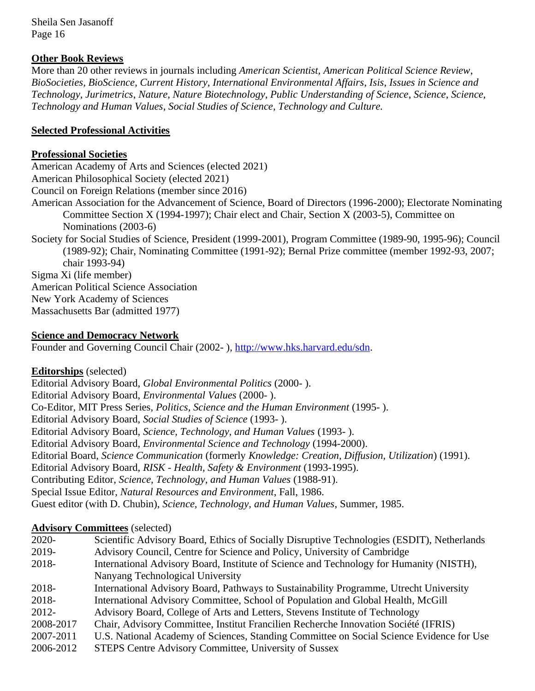### **Other Book Reviews**

More than 20 other reviews in journals including *American Scientist, American Political Science Review*, *BioSocieties, BioScience*, *Current History, International Environmental Affairs*, *Isis, Issues in Science and Technology, Jurimetrics*, *Nature*, *Nature Biotechnology, Public Understanding of Science*, *Science*, *Science, Technology and Human Values*, *Social Studies of Science, Technology and Culture.*

### **Selected Professional Activities**

### **Professional Societies**

American Academy of Arts and Sciences (elected 2021) American Philosophical Society (elected 2021) Council on Foreign Relations (member since 2016) American Association for the Advancement of Science, Board of Directors (1996-2000); Electorate Nominating Committee Section X (1994-1997); Chair elect and Chair, Section X (2003-5), Committee on Nominations (2003-6) Society for Social Studies of Science, President (1999-2001), Program Committee (1989-90, 1995-96); Council (1989-92); Chair, Nominating Committee (1991-92); Bernal Prize committee (member 1992-93, 2007; chair 1993-94) Sigma Xi (life member) American Political Science Association New York Academy of Sciences

Massachusetts Bar (admitted 1977)

### **Science and Democracy Network**

Founder and Governing Council Chair (2002- ), [http://www.hks.harvard.edu/sdn.](http://www.hks.harvard.edu/sdn)

### **Editorships** (selected)

Editorial Advisory Board, *Global Environmental Politics* (2000- ). Editorial Advisory Board, *Environmental Values* (2000- ). Co-Editor, MIT Press Series, *Politics, Science and the Human Environment* (1995- ). Editorial Advisory Board, *Social Studies of Science* (1993- ). Editorial Advisory Board, *Science, Technology, and Human Values* (1993- ). Editorial Advisory Board, *Environmental Science and Technology* (1994-2000). Editorial Board, *Science Communication* (formerly *Knowledge: Creation, Diffusion, Utilization*) (1991). Editorial Advisory Board, *RISK - Health, Safety & Environment* (1993-1995). Contributing Editor, *Science, Technology, and Human Values* (1988-91). Special Issue Editor, *Natural Resources and Environment*, Fall, 1986. Guest editor (with D. Chubin), *Science, Technology, and Human Values*, Summer, 1985.

## **Advisory Committees** (selected)

|           | 1.441                                                                                      |
|-----------|--------------------------------------------------------------------------------------------|
| $2020 -$  | Scientific Advisory Board, Ethics of Socially Disruptive Technologies (ESDIT), Netherlands |
| 2019-     | Advisory Council, Centre for Science and Policy, University of Cambridge                   |
| 2018-     | International Advisory Board, Institute of Science and Technology for Humanity (NISTH),    |
|           | Nanyang Technological University                                                           |
| 2018-     | International Advisory Board, Pathways to Sustainability Programme, Utrecht University     |
| 2018-     | International Advisory Committee, School of Population and Global Health, McGill           |
| 2012-     | Advisory Board, College of Arts and Letters, Stevens Institute of Technology               |
| 2008-2017 | Chair, Advisory Committee, Institut Francilien Recherche Innovation Société (IFRIS)        |
| 2007-2011 | U.S. National Academy of Sciences, Standing Committee on Social Science Evidence for Use   |
| 2006-2012 | STEPS Centre Advisory Committee, University of Sussex                                      |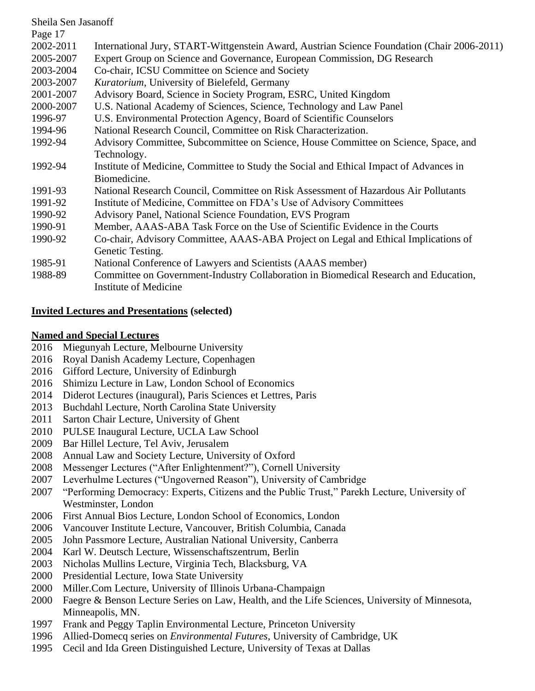| Sheila Sen Jasanoff |                                                                                             |
|---------------------|---------------------------------------------------------------------------------------------|
| Page 17             |                                                                                             |
| 2002-2011           | International Jury, START-Wittgenstein Award, Austrian Science Foundation (Chair 2006-2011) |
| 2005-2007           | Expert Group on Science and Governance, European Commission, DG Research                    |
| 2003-2004           | Co-chair, ICSU Committee on Science and Society                                             |
| 2003-2007           | Kuratorium, University of Bielefeld, Germany                                                |
| 2001-2007           | Advisory Board, Science in Society Program, ESRC, United Kingdom                            |
| 2000-2007           | U.S. National Academy of Sciences, Science, Technology and Law Panel                        |
| 1996-97             | U.S. Environmental Protection Agency, Board of Scientific Counselors                        |
| 1994-96             | National Research Council, Committee on Risk Characterization.                              |
| 1992-94             | Advisory Committee, Subcommittee on Science, House Committee on Science, Space, and         |
|                     | Technology.                                                                                 |
| 1992-94             | Institute of Medicine, Committee to Study the Social and Ethical Impact of Advances in      |
|                     | Biomedicine.                                                                                |
| 1991-93             | National Research Council, Committee on Risk Assessment of Hazardous Air Pollutants         |
| 1991-92             | Institute of Medicine, Committee on FDA's Use of Advisory Committees                        |
| 1990-92             | Advisory Panel, National Science Foundation, EVS Program                                    |
| 1990-91             | Member, AAAS-ABA Task Force on the Use of Scientific Evidence in the Courts                 |
| 1990-92             | Co-chair, Advisory Committee, AAAS-ABA Project on Legal and Ethical Implications of         |
|                     | Genetic Testing.                                                                            |
| 1985-91             | National Conference of Lawyers and Scientists (AAAS member)                                 |
| 1988-89             | Committee on Government-Industry Collaboration in Biomedical Research and Education,        |
|                     | <b>Institute of Medicine</b>                                                                |

- 2016 Gifford Lecture, University of Edinburgh
- 2016 Shimizu Lecture in Law, London School of Economics
- 2014 Diderot Lectures (inaugural), Paris Sciences et Lettres, Paris
- 2013 Buchdahl Lecture, North Carolina State University
- 2011 Sarton Chair Lecture, University of Ghent

**Invited Lectures and Presentations (selected)**

2016 Miegunyah Lecture, Melbourne University 2016 Royal Danish Academy Lecture, Copenhagen

**Named and Special Lectures**

- 2010 PULSE Inaugural Lecture, UCLA Law School
- 2009 Bar Hillel Lecture, Tel Aviv, Jerusalem
- 2008 Annual Law and Society Lecture, University of Oxford
- 2008 Messenger Lectures ("After Enlightenment?"), Cornell University
- 2007 Leverhulme Lectures ("Ungoverned Reason"), University of Cambridge
- 2007 "Performing Democracy: Experts, Citizens and the Public Trust," Parekh Lecture, University of Westminster, London
- 2006 First Annual Bios Lecture, London School of Economics, London
- 2006 Vancouver Institute Lecture, Vancouver, British Columbia, Canada
- 2005 John Passmore Lecture, Australian National University, Canberra
- 2004 Karl W. Deutsch Lecture, Wissenschaftszentrum, Berlin
- 2003 Nicholas Mullins Lecture, Virginia Tech, Blacksburg, VA
- 2000 Presidential Lecture, Iowa State University
- 2000 Miller.Com Lecture, University of Illinois Urbana-Champaign
- 2000 Faegre & Benson Lecture Series on Law, Health, and the Life Sciences, University of Minnesota, Minneapolis, MN.
- 1997 Frank and Peggy Taplin Environmental Lecture, Princeton University
- 1996 Allied-Domecq series on *Environmental Futures*, University of Cambridge, UK
- 1995 Cecil and Ida Green Distinguished Lecture, University of Texas at Dallas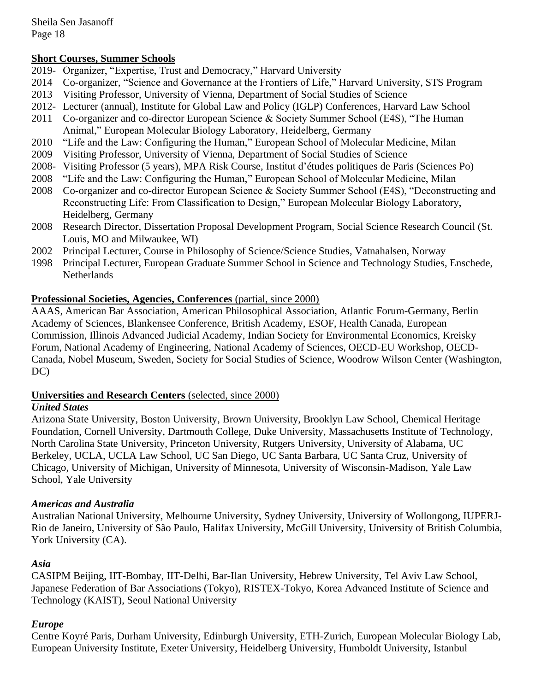### **Short Courses, Summer Schools**

- 2019- Organizer, "Expertise, Trust and Democracy," Harvard University
- 2014 Co-organizer, "Science and Governance at the Frontiers of Life," Harvard University, STS Program
- 2013 Visiting Professor, University of Vienna, Department of Social Studies of Science
- 2012- Lecturer (annual), Institute for Global Law and Policy (IGLP) Conferences, Harvard Law School
- 2011 Co-organizer and co-director European Science & Society Summer School (E4S), "The Human Animal," European Molecular Biology Laboratory, Heidelberg, Germany
- 2010 "Life and the Law: Configuring the Human," European School of Molecular Medicine, Milan
- 2009 Visiting Professor, University of Vienna, Department of Social Studies of Science
- 2008- Visiting Professor (5 years), MPA Risk Course, Institut d'études politiques de Paris (Sciences Po)
- 2008 "Life and the Law: Configuring the Human," European School of Molecular Medicine, Milan
- 2008 Co-organizer and co-director European Science & Society Summer School (E4S), "Deconstructing and Reconstructing Life: From Classification to Design," European Molecular Biology Laboratory, Heidelberg, Germany
- 2008 Research Director, Dissertation Proposal Development Program, Social Science Research Council (St. Louis, MO and Milwaukee, WI)
- 2002 Principal Lecturer, Course in Philosophy of Science/Science Studies, Vatnahalsen, Norway
- 1998 Principal Lecturer, European Graduate Summer School in Science and Technology Studies, Enschede, **Netherlands**

### **Professional Societies, Agencies, Conferences** (partial, since 2000)

AAAS, American Bar Association, American Philosophical Association, Atlantic Forum-Germany, Berlin Academy of Sciences, Blankensee Conference, British Academy, ESOF, Health Canada, European Commission, Illinois Advanced Judicial Academy, Indian Society for Environmental Economics, Kreisky Forum, National Academy of Engineering, National Academy of Sciences, OECD-EU Workshop, OECD-Canada, Nobel Museum, Sweden, Society for Social Studies of Science, Woodrow Wilson Center (Washington, DC)

### **Universities and Research Centers** (selected, since 2000)

### *United States*

Arizona State University, Boston University, Brown University, Brooklyn Law School, Chemical Heritage Foundation, Cornell University, Dartmouth College, Duke University, Massachusetts Institute of Technology, North Carolina State University, Princeton University, Rutgers University, University of Alabama, UC Berkeley, UCLA, UCLA Law School, UC San Diego, UC Santa Barbara, UC Santa Cruz, University of Chicago, University of Michigan, University of Minnesota, University of Wisconsin-Madison, Yale Law School, Yale University

### *Americas and Australia*

Australian National University, Melbourne University, Sydney University, University of Wollongong, IUPERJ-Rio de Janeiro, University of São Paulo, Halifax University, McGill University, University of British Columbia, York University (CA).

### *Asia*

CASIPM Beijing, IIT-Bombay, IIT-Delhi, Bar-Ilan University, Hebrew University, Tel Aviv Law School, Japanese Federation of Bar Associations (Tokyo), RISTEX-Tokyo, Korea Advanced Institute of Science and Technology (KAIST), Seoul National University

### *Europe*

Centre Koyré Paris, Durham University, Edinburgh University, ETH-Zurich, European Molecular Biology Lab, European University Institute, Exeter University, Heidelberg University, Humboldt University, Istanbul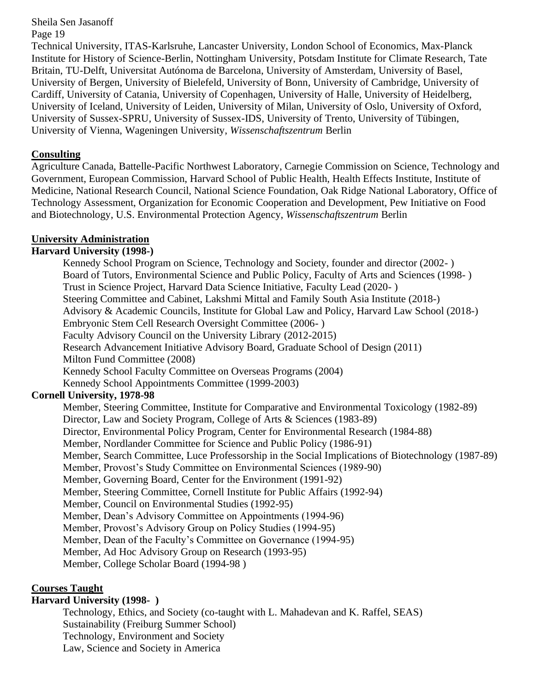Technical University, ITAS-Karlsruhe, Lancaster University, London School of Economics, Max-Planck Institute for History of Science-Berlin, Nottingham University, Potsdam Institute for Climate Research, Tate Britain, TU-Delft, Universitat Autónoma de Barcelona, University of Amsterdam, University of Basel, University of Bergen, University of Bielefeld, University of Bonn, University of Cambridge, University of Cardiff, University of Catania, University of Copenhagen, University of Halle, University of Heidelberg, University of Iceland, University of Leiden, University of Milan, University of Oslo, University of Oxford, University of Sussex-SPRU, University of Sussex-IDS, University of Trento, University of Tübingen, University of Vienna, Wageningen University, *Wissenschaftszentrum* Berlin

### **Consulting**

Agriculture Canada, Battelle-Pacific Northwest Laboratory, Carnegie Commission on Science, Technology and Government, European Commission, Harvard School of Public Health, Health Effects Institute, Institute of Medicine, National Research Council, National Science Foundation, Oak Ridge National Laboratory, Office of Technology Assessment, Organization for Economic Cooperation and Development, Pew Initiative on Food and Biotechnology, U.S. Environmental Protection Agency, *Wissenschaftszentrum* Berlin

### **University Administration**

### **Harvard University (1998-)**

Kennedy School Program on Science, Technology and Society, founder and director (2002- ) Board of Tutors, Environmental Science and Public Policy, Faculty of Arts and Sciences (1998- ) Trust in Science Project, Harvard Data Science Initiative, Faculty Lead (2020- ) Steering Committee and Cabinet, Lakshmi Mittal and Family South Asia Institute (2018-) Advisory & Academic Councils, Institute for Global Law and Policy, Harvard Law School (2018-) Embryonic Stem Cell Research Oversight Committee (2006- ) Faculty Advisory Council on the University Library (2012-2015) Research Advancement Initiative Advisory Board, Graduate School of Design (2011) Milton Fund Committee (2008) Kennedy School Faculty Committee on Overseas Programs (2004) Kennedy School Appointments Committee (1999-2003)

### **Cornell University, 1978-98**

Member, Steering Committee, Institute for Comparative and Environmental Toxicology (1982-89) Director, Law and Society Program, College of Arts & Sciences (1983-89) Director, Environmental Policy Program, Center for Environmental Research (1984-88) Member, Nordlander Committee for Science and Public Policy (1986-91) Member, Search Committee, Luce Professorship in the Social Implications of Biotechnology (1987-89) Member, Provost's Study Committee on Environmental Sciences (1989-90) Member, Governing Board, Center for the Environment (1991-92) Member, Steering Committee, Cornell Institute for Public Affairs (1992-94) Member, Council on Environmental Studies (1992-95) Member, Dean's Advisory Committee on Appointments (1994-96) Member, Provost's Advisory Group on Policy Studies (1994-95) Member, Dean of the Faculty's Committee on Governance (1994-95) Member, Ad Hoc Advisory Group on Research (1993-95) Member, College Scholar Board (1994-98 )

### **Courses Taught**

### **Harvard University (1998- )**

Technology, Ethics, and Society (co-taught with L. Mahadevan and K. Raffel, SEAS) Sustainability (Freiburg Summer School) Technology, Environment and Society Law, Science and Society in America